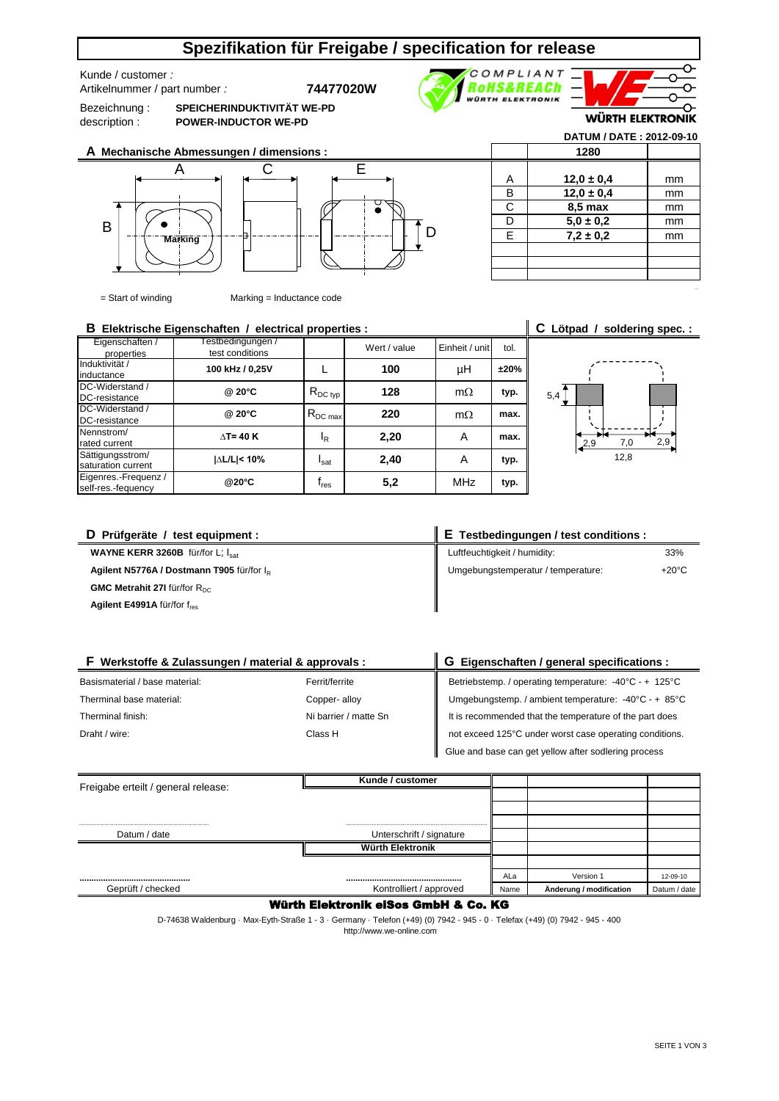# **Spezifikation für Freigabe / specification for release**

Kunde / customer *:* 

Artikelnummer / part number *:* **74477020W**

Bezeichnung : description :

B

**SPEICHERINDUKTIVITÄT WE-PD POWER-INDUCTOR WE-PD**



**Marking**

 $=$  Start of winding

|                           | D |  |
|---------------------------|---|--|
| Marking = Inductance code |   |  |
| .                         |   |  |

## **B** Elektrische Eigenschaften / electrical properties : <br>**C** Lötpad / soldering spec. :

| Eigenschaften /<br>properties              | estbedingungen /<br>test conditions |                                          | Wert / value | Einheit / unit | tol. |
|--------------------------------------------|-------------------------------------|------------------------------------------|--------------|----------------|------|
| Induktivität /<br>inductance               | 100 kHz / 0,25V                     |                                          | 100          | μH             | ±20% |
| DC-Widerstand /<br>DC-resistance           | @ 20°C                              | $\mathsf{R}_{\mathsf{DC}\:\mathsf{typ}}$ | 128          | $m\Omega$      | typ. |
| DC-Widerstand /<br>DC-resistance           | @ 20°C                              | $R_{DC max}$                             | 220          | $m\Omega$      | max. |
| Nennstrom/<br>rated current                | $\Lambda$ T= 40 K                   | ΙŖ                                       | 2,20         | A              | max. |
| Sättigungsstrom/<br>saturation current     | I∆L/L < 10%                         | Isat                                     | 2,40         | A              | typ. |
| Eigenres.-Frequenz /<br>self-res.-fequency | @20°C                               | $\mathsf{f}_{\mathsf{res}}$              | 5,2          | <b>MHz</b>     | typ. |

| 5,4 |     |      |     |
|-----|-----|------|-----|
|     |     |      |     |
|     | 2,9 | 7,0  | 2,9 |
|     |     | 12,8 |     |

A mm **12,0 ± 0,4** B mm **12,0 ± 0,4 C** | **8,5 max** | mm D mm **5,0 ± 0,2** E mm **7,2 ± 0,2**

**1280**

COMPLIANT **ROHS&REACh** 

**WÜRTH ELEKTRONIK** 

**DATUM / DATE : 2012-09-10**

**WÜRTH ELEKTRONIK** 

า

C

| D Prüfgeräte / test equipment :                       | E Testbedingungen / test conditions : |                 |  |  |
|-------------------------------------------------------|---------------------------------------|-----------------|--|--|
| WAYNE KERR 3260B für/for L; lsat                      | Luftfeuchtigkeit / humidity:          | 33%             |  |  |
| Agilent N5776A / Dostmann T905 für/for I <sub>p</sub> | Umgebungstemperatur / temperature:    | $+20^{\circ}$ C |  |  |
| GMC Metrahit 27I für/for R <sub>DC</sub>              |                                       |                 |  |  |
| <b>Agilent E4991A</b> für/for $f_{res}$               |                                       |                 |  |  |

 $\ddot{ }$ 

| F Werkstoffe & Zulassungen / material & approvals : |                       | G Eigenschaften / general specifications :                                |  |  |
|-----------------------------------------------------|-----------------------|---------------------------------------------------------------------------|--|--|
| Basismaterial / base material:                      | Ferrit/ferrite        | Betriebstemp. / operating temperature: -40°C - + 125°C                    |  |  |
| Therminal base material:                            | Copper-alloy          | Umgebungstemp. / ambient temperature: $-40^{\circ}$ C - + 85 $^{\circ}$ C |  |  |
| Therminal finish:                                   | Ni barrier / matte Sn | It is recommended that the temperature of the part does                   |  |  |
| Draht / wire:                                       | Class H               | not exceed 125°C under worst case operating conditions.                   |  |  |
|                                                     |                       | Glue and base can get yellow after sodlering process                      |  |  |

| Freigabe erteilt / general release: | Kunde / customer         |      |                         |              |
|-------------------------------------|--------------------------|------|-------------------------|--------------|
|                                     |                          |      |                         |              |
|                                     |                          |      |                         |              |
|                                     |                          |      |                         |              |
| Datum / date                        | Unterschrift / signature |      |                         |              |
|                                     | <b>Würth Elektronik</b>  |      |                         |              |
|                                     |                          |      |                         |              |
|                                     |                          | ALa  | Version 1               | 12-09-10     |
| Geprüft / checked                   | Kontrolliert / approved  | Name | Änderung / modification | Datum / date |

### Würth Elektronik eiSos GmbH & Co. KG

 http://www.we-online.com D-74638 Waldenburg · Max-Eyth-Straße 1 - 3 · Germany · Telefon (+49) (0) 7942 - 945 - 0 · Telefax (+49) (0) 7942 - 945 - 400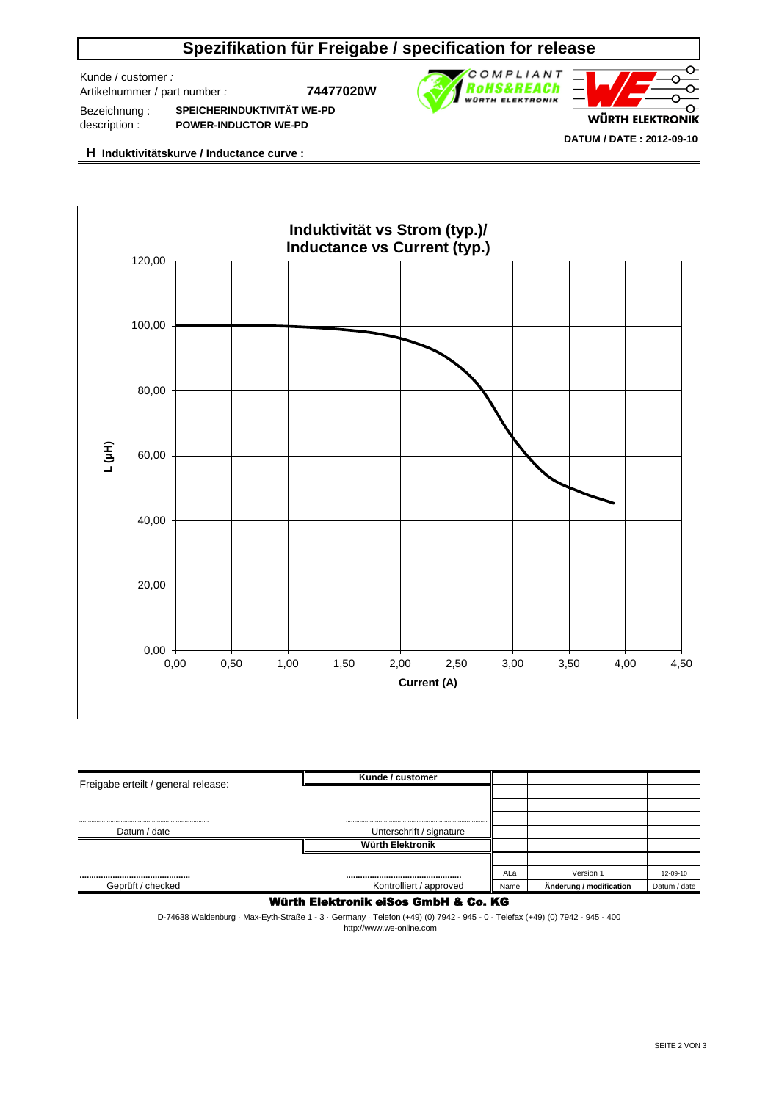# **Spezifikation für Freigabe / specification for release**

Kunde / customer *:* 

Artikelnummer / part number *:* **74477020W**



Bezeichnung : description : **SPEICHERINDUKTIVITÄT WE-PD POWER-INDUCTOR WE-PD**

**H Induktivitätskurve / Inductance curve :**



| Freigabe erteilt / general release: | Kunde / customer         |      |                         |              |
|-------------------------------------|--------------------------|------|-------------------------|--------------|
|                                     |                          |      |                         |              |
|                                     |                          |      |                         |              |
|                                     |                          |      |                         |              |
| Datum / date                        | Unterschrift / signature |      |                         |              |
|                                     | Würth Elektronik         |      |                         |              |
|                                     |                          |      |                         |              |
|                                     |                          | ALa  | Version 1               | 12-09-10     |
| Geprüft / checked                   | Kontrolliert / approved  | Name | Änderung / modification | Datum / date |

### Würth Elektronik eiSos GmbH & Co. KG

D-74638 Waldenburg · Max-Eyth-Straße 1 - 3 · Germany · Telefon (+49) (0) 7942 - 945 - 0 · Telefax (+49) (0) 7942 - 945 - 400 http://www.we-online.com